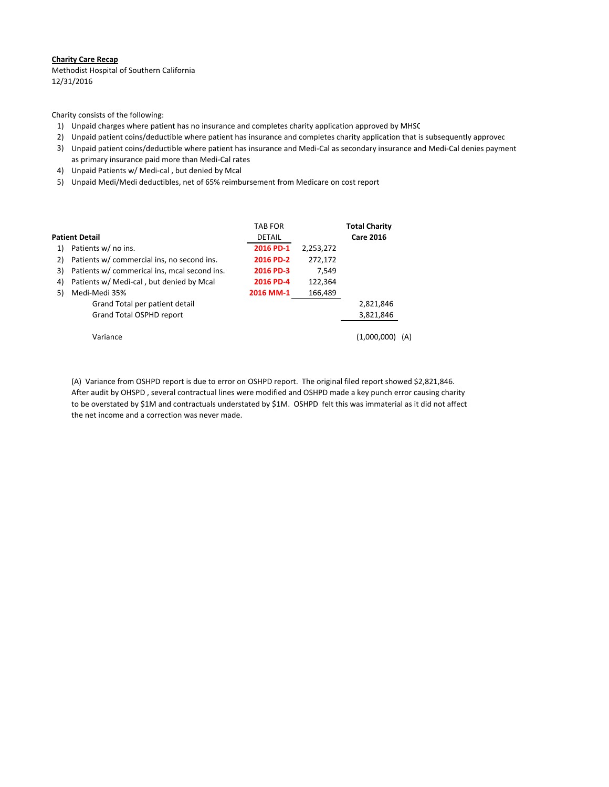#### **Charity Care Recap**

Methodist Hospital of Southern California 12/31/2016

Charity consists of the following:

- 1) Unpaid charges where patient has no insurance and completes charity application approved by MHSC
- 2) Unpaid patient coins/deductible where patient has insurance and completes charity application that is subsequently approved
- 3) Unpaid patient coins/deductible where patient has insurance and Medi‐Cal as secondary insurance and Medi‐Cal denies payment as primary insurance paid more than Medi‐Cal rates
- 4) Unpaid Patients w/ Medi‐cal , but denied by Mcal
- 5) Unpaid Medi/Medi deductibles, net of 65% reimbursement from Medicare on cost report

|                |                                              | <b>TAB FOR</b> |           | <b>Total Charity</b> |
|----------------|----------------------------------------------|----------------|-----------|----------------------|
| Patient Detail |                                              | <b>DETAIL</b>  |           | <b>Care 2016</b>     |
| 1)             | Patients w/ no ins.                          | 2016 PD-1      | 2,253,272 |                      |
| 2)             | Patients w/ commercial ins, no second ins.   | 2016 PD-2      | 272,172   |                      |
| 3)             | Patients w/ commerical ins, mcal second ins. | 2016 PD-3      | 7.549     |                      |
| 4)             | Patients w/ Medi-cal, but denied by Mcal     | 2016 PD-4      | 122,364   |                      |
| 5)             | Medi-Medi 35%                                | 2016 MM-1      | 166,489   |                      |
|                | Grand Total per patient detail               |                |           | 2,821,846            |
|                | Grand Total OSPHD report                     |                |           | 3,821,846            |
|                | Variance                                     |                |           | (1.000.000<br>(A)    |

 (A) Variance from OSHPD report is due to error on OSHPD report. The original filed report showed \$2,821,846. After audit by OHSPD , several contractual lines were modified and OSHPD made a key punch error causing charity to be overstated by \$1M and contractuals understated by \$1M. OSHPD felt this was immaterial as it did not affect the net income and a correction was never made.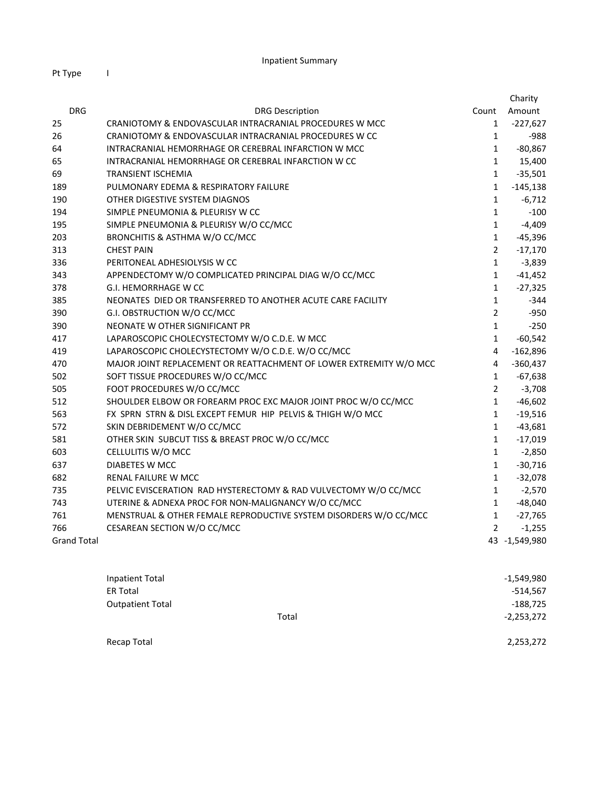|                    |                                                                    |                | Charity       |
|--------------------|--------------------------------------------------------------------|----------------|---------------|
| <b>DRG</b>         | <b>DRG Description</b>                                             | Count          | Amount        |
| 25                 | CRANIOTOMY & ENDOVASCULAR INTRACRANIAL PROCEDURES W MCC            | $\mathbf{1}$   | $-227,627$    |
| 26                 | CRANIOTOMY & ENDOVASCULAR INTRACRANIAL PROCEDURES W CC             | $\mathbf{1}$   | $-988$        |
| 64                 | INTRACRANIAL HEMORRHAGE OR CEREBRAL INFARCTION W MCC               | $\mathbf{1}$   | $-80,867$     |
| 65                 | INTRACRANIAL HEMORRHAGE OR CEREBRAL INFARCTION W CC                | $\mathbf{1}$   | 15,400        |
| 69                 | <b>TRANSIENT ISCHEMIA</b>                                          | $\mathbf{1}$   | $-35,501$     |
| 189                | PULMONARY EDEMA & RESPIRATORY FAILURE                              | $\mathbf{1}$   | $-145,138$    |
| 190                | OTHER DIGESTIVE SYSTEM DIAGNOS                                     | $\mathbf{1}$   | $-6,712$      |
| 194                | SIMPLE PNEUMONIA & PLEURISY W CC                                   | $\mathbf{1}$   | $-100$        |
| 195                | SIMPLE PNEUMONIA & PLEURISY W/O CC/MCC                             | $\mathbf{1}$   | $-4,409$      |
| 203                | BRONCHITIS & ASTHMA W/O CC/MCC                                     | $\mathbf{1}$   | $-45,396$     |
| 313                | <b>CHEST PAIN</b>                                                  | $\overline{2}$ | $-17,170$     |
| 336                | PERITONEAL ADHESIOLYSIS W CC                                       | $\mathbf{1}$   | $-3,839$      |
| 343                | APPENDECTOMY W/O COMPLICATED PRINCIPAL DIAG W/O CC/MCC             | $\mathbf{1}$   | $-41,452$     |
| 378                | G.I. HEMORRHAGE W CC                                               | $\mathbf{1}$   | $-27,325$     |
| 385                | NEONATES DIED OR TRANSFERRED TO ANOTHER ACUTE CARE FACILITY        | $\mathbf{1}$   | $-344$        |
| 390                | G.I. OBSTRUCTION W/O CC/MCC                                        | $\overline{2}$ | -950          |
| 390                | NEONATE W OTHER SIGNIFICANT PR                                     | $\mathbf{1}$   | $-250$        |
| 417                | LAPAROSCOPIC CHOLECYSTECTOMY W/O C.D.E. W MCC                      | $\mathbf{1}$   | $-60,542$     |
| 419                | LAPAROSCOPIC CHOLECYSTECTOMY W/O C.D.E. W/O CC/MCC                 | 4              | $-162,896$    |
| 470                | MAJOR JOINT REPLACEMENT OR REATTACHMENT OF LOWER EXTREMITY W/O MCC | 4              | $-360,437$    |
| 502                | SOFT TISSUE PROCEDURES W/O CC/MCC                                  | $\mathbf{1}$   | $-67,638$     |
| 505                | FOOT PROCEDURES W/O CC/MCC                                         | $\overline{2}$ | $-3,708$      |
| 512                | SHOULDER ELBOW OR FOREARM PROC EXC MAJOR JOINT PROC W/O CC/MCC     | $\mathbf{1}$   | $-46,602$     |
| 563                | FX SPRN STRN & DISL EXCEPT FEMUR HIP PELVIS & THIGH W/O MCC        | $\mathbf{1}$   | $-19,516$     |
| 572                | SKIN DEBRIDEMENT W/O CC/MCC                                        | $\mathbf{1}$   | $-43,681$     |
| 581                | OTHER SKIN SUBCUT TISS & BREAST PROC W/O CC/MCC                    | $\mathbf{1}$   | $-17,019$     |
| 603                | CELLULITIS W/O MCC                                                 | $\mathbf{1}$   | $-2,850$      |
| 637                | DIABETES W MCC                                                     | $\mathbf{1}$   | $-30,716$     |
| 682                | RENAL FAILURE W MCC                                                | $\mathbf{1}$   | $-32,078$     |
| 735                | PELVIC EVISCERATION RAD HYSTERECTOMY & RAD VULVECTOMY W/O CC/MCC   | $\mathbf{1}$   | $-2,570$      |
| 743                | UTERINE & ADNEXA PROC FOR NON-MALIGNANCY W/O CC/MCC                | $\mathbf{1}$   | $-48,040$     |
| 761                | MENSTRUAL & OTHER FEMALE REPRODUCTIVE SYSTEM DISORDERS W/O CC/MCC  | $\mathbf{1}$   | $-27,765$     |
| 766                | CESAREAN SECTION W/O CC/MCC                                        | $\overline{2}$ | $-1,255$      |
| <b>Grand Total</b> |                                                                    |                | 43 -1,549,980 |

| <b>Inpatient Total</b>  |       | $-1,549,980$ |
|-------------------------|-------|--------------|
| <b>ER Total</b>         |       | $-514,567$   |
| <b>Outpatient Total</b> |       | $-188,725$   |
|                         | Total | $-2,253,272$ |
|                         |       |              |
| Recap Total             |       | 2,253,272    |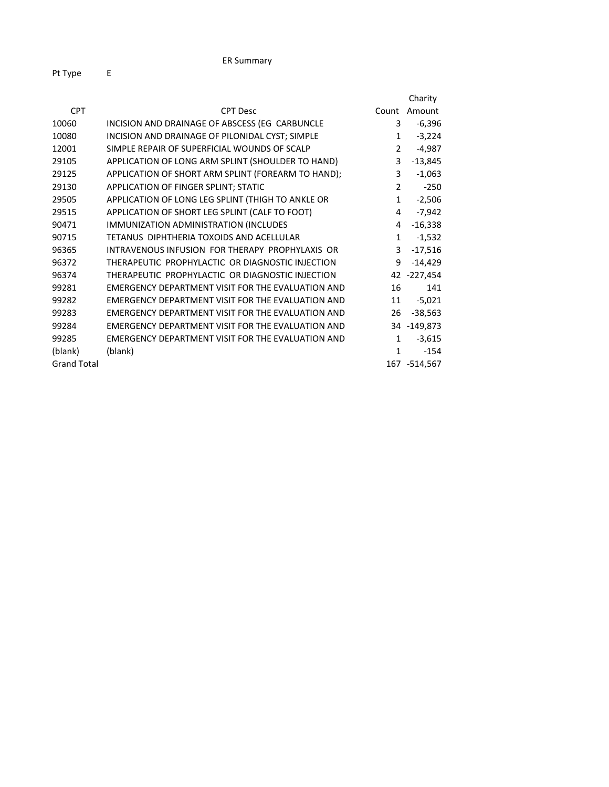|                    |                                                    |                | Charity        |
|--------------------|----------------------------------------------------|----------------|----------------|
| <b>CPT</b>         | <b>CPT Desc</b>                                    | Count          | Amount         |
| 10060              | INCISION AND DRAINAGE OF ABSCESS (EG CARBUNCLE     | 3              | $-6,396$       |
| 10080              | INCISION AND DRAINAGE OF PILONIDAL CYST; SIMPLE    | 1              | $-3,224$       |
| 12001              | SIMPLE REPAIR OF SUPERFICIAL WOUNDS OF SCALP       | $\overline{2}$ | $-4,987$       |
| 29105              | APPLICATION OF LONG ARM SPLINT (SHOULDER TO HAND)  | 3              | $-13,845$      |
| 29125              | APPLICATION OF SHORT ARM SPLINT (FOREARM TO HAND); | 3              | $-1,063$       |
| 29130              | APPLICATION OF FINGER SPLINT; STATIC               | $\overline{2}$ | $-250$         |
| 29505              | APPLICATION OF LONG LEG SPLINT (THIGH TO ANKLE OR  | $\mathbf{1}$   | $-2,506$       |
| 29515              | APPLICATION OF SHORT LEG SPLINT (CALF TO FOOT)     | 4              | $-7,942$       |
| 90471              | IMMUNIZATION ADMINISTRATION (INCLUDES              | 4              | $-16,338$      |
| 90715              | TETANUS DIPHTHERIA TOXOIDS AND ACELLULAR           | $\mathbf{1}$   | $-1,532$       |
| 96365              | INTRAVENOUS INFUSION FOR THERAPY PROPHYLAXIS OR    | 3              | $-17,516$      |
| 96372              | THERAPEUTIC PROPHYLACTIC OR DIAGNOSTIC INJECTION   | 9              | $-14,429$      |
| 96374              | THERAPEUTIC PROPHYLACTIC OR DIAGNOSTIC INJECTION   |                | 42 -227,454    |
| 99281              | EMERGENCY DEPARTMENT VISIT FOR THE EVALUATION AND  | 16             | 141            |
| 99282              | EMERGENCY DEPARTMENT VISIT FOR THE EVALUATION AND  | 11             | $-5,021$       |
| 99283              | EMERGENCY DEPARTMENT VISIT FOR THE EVALUATION AND  | 26             | $-38,563$      |
| 99284              | EMERGENCY DEPARTMENT VISIT FOR THE EVALUATION AND  |                | 34 -149,873    |
| 99285              | EMERGENCY DEPARTMENT VISIT FOR THE EVALUATION AND  | $\mathbf{1}$   | $-3,615$       |
| (blank)            | (blank)                                            | $\mathbf{1}$   | $-154$         |
| <b>Grand Total</b> |                                                    |                | 167 - 514, 567 |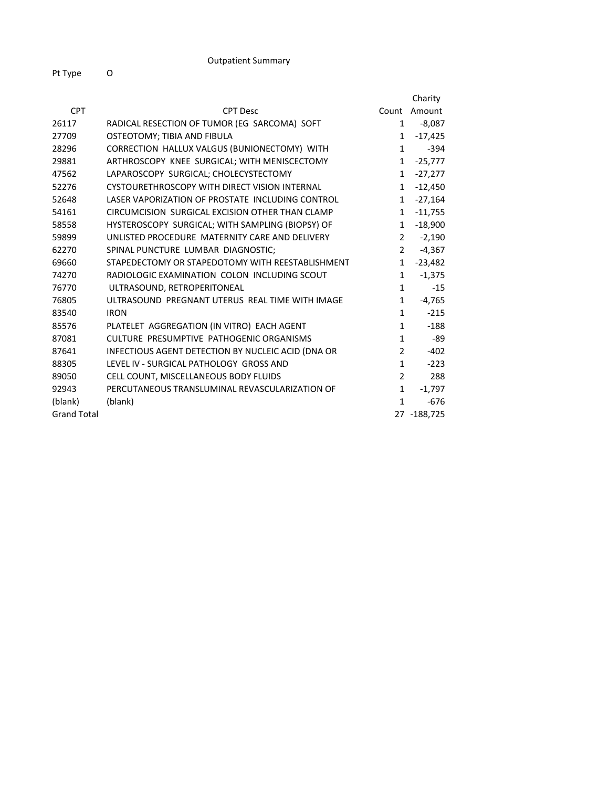|                    |                                                    |                | Charity     |
|--------------------|----------------------------------------------------|----------------|-------------|
| <b>CPT</b>         | <b>CPT Desc</b>                                    | Count          | Amount      |
| 26117              | RADICAL RESECTION OF TUMOR (EG SARCOMA) SOFT       | $\mathbf{1}$   | -8,087      |
| 27709              | OSTEOTOMY; TIBIA AND FIBULA                        | 1              | $-17,425$   |
| 28296              | CORRECTION HALLUX VALGUS (BUNIONECTOMY) WITH       | $\mathbf{1}$   | $-394$      |
| 29881              | ARTHROSCOPY KNEE SURGICAL; WITH MENISCECTOMY       | 1              | $-25,777$   |
| 47562              | LAPAROSCOPY SURGICAL; CHOLECYSTECTOMY              | $\mathbf{1}$   | $-27,277$   |
| 52276              | CYSTOURETHROSCOPY WITH DIRECT VISION INTERNAL      | $\mathbf{1}$   | $-12,450$   |
| 52648              | LASER VAPORIZATION OF PROSTATE INCLUDING CONTROL   | 1              | $-27,164$   |
| 54161              | CIRCUMCISION SURGICAL EXCISION OTHER THAN CLAMP    | $\mathbf{1}$   | $-11,755$   |
| 58558              | HYSTEROSCOPY SURGICAL; WITH SAMPLING (BIOPSY) OF   | 1              | $-18,900$   |
| 59899              | UNLISTED PROCEDURE MATERNITY CARE AND DELIVERY     | $\overline{2}$ | $-2,190$    |
| 62270              | SPINAL PUNCTURE LUMBAR DIAGNOSTIC;                 | $\overline{2}$ | $-4,367$    |
| 69660              | STAPEDECTOMY OR STAPEDOTOMY WITH REESTABLISHMENT   | $\mathbf{1}$   | $-23,482$   |
| 74270              | RADIOLOGIC EXAMINATION COLON INCLUDING SCOUT       | $\mathbf{1}$   | $-1,375$    |
| 76770              | ULTRASOUND, RETROPERITONEAL                        | $\mathbf{1}$   | $-15$       |
| 76805              | ULTRASOUND PREGNANT UTERUS REAL TIME WITH IMAGE    | $\mathbf{1}$   | $-4,765$    |
| 83540              | <b>IRON</b>                                        | $\mathbf{1}$   | $-215$      |
| 85576              | PLATELET AGGREGATION (IN VITRO) EACH AGENT         | 1              | $-188$      |
| 87081              | CULTURE PRESUMPTIVE PATHOGENIC ORGANISMS           | $\mathbf{1}$   | -89         |
| 87641              | INFECTIOUS AGENT DETECTION BY NUCLEIC ACID (DNA OR | $\overline{2}$ | $-402$      |
| 88305              | LEVEL IV - SURGICAL PATHOLOGY GROSS AND            | $\mathbf{1}$   | $-223$      |
| 89050              | CELL COUNT, MISCELLANEOUS BODY FLUIDS              | $\overline{2}$ | 288         |
| 92943              | PERCUTANEOUS TRANSLUMINAL REVASCULARIZATION OF     | 1              | $-1,797$    |
| (blank)            | (blank)                                            | $\mathbf{1}$   | $-676$      |
| <b>Grand Total</b> |                                                    |                | 27 -188,725 |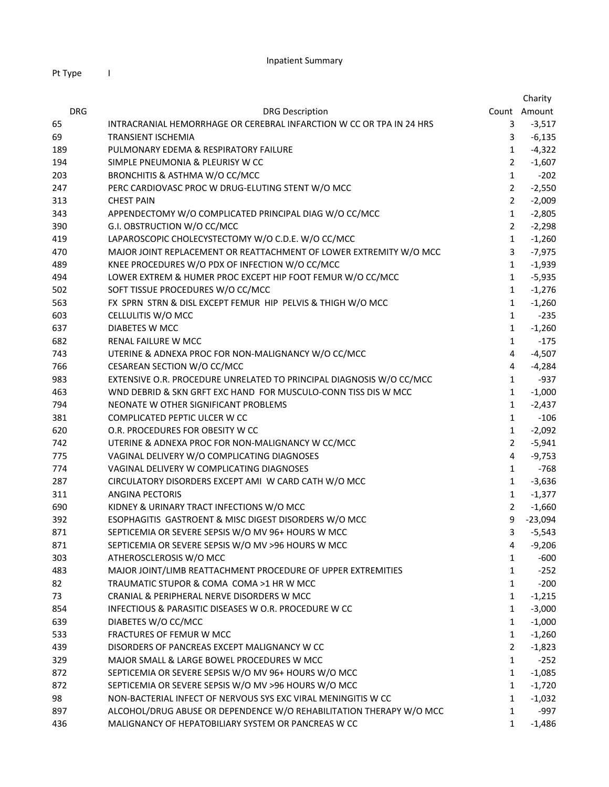|            |                                                                      |                | Charity      |
|------------|----------------------------------------------------------------------|----------------|--------------|
| <b>DRG</b> | <b>DRG Description</b>                                               |                | Count Amount |
| 65         | INTRACRANIAL HEMORRHAGE OR CEREBRAL INFARCTION W CC OR TPA IN 24 HRS | 3              | $-3,517$     |
| 69         | <b>TRANSIENT ISCHEMIA</b>                                            | 3              | $-6,135$     |
| 189        | PULMONARY EDEMA & RESPIRATORY FAILURE                                | $\mathbf{1}$   | $-4,322$     |
| 194        | SIMPLE PNEUMONIA & PLEURISY W CC                                     | $\overline{2}$ | $-1,607$     |
| 203        | BRONCHITIS & ASTHMA W/O CC/MCC                                       | $\mathbf{1}$   | $-202$       |
| 247        | PERC CARDIOVASC PROC W DRUG-ELUTING STENT W/O MCC                    | $\overline{2}$ | $-2,550$     |
| 313        | <b>CHEST PAIN</b>                                                    | $\overline{2}$ | $-2,009$     |
| 343        | APPENDECTOMY W/O COMPLICATED PRINCIPAL DIAG W/O CC/MCC               | $\mathbf{1}$   | $-2,805$     |
| 390        | G.I. OBSTRUCTION W/O CC/MCC                                          | $\overline{2}$ | $-2,298$     |
| 419        | LAPAROSCOPIC CHOLECYSTECTOMY W/O C.D.E. W/O CC/MCC                   | $\mathbf{1}$   | $-1,260$     |
| 470        | MAJOR JOINT REPLACEMENT OR REATTACHMENT OF LOWER EXTREMITY W/O MCC   | 3              | $-7,975$     |
| 489        | KNEE PROCEDURES W/O PDX OF INFECTION W/O CC/MCC                      | $\mathbf{1}$   | $-1,939$     |
| 494        | LOWER EXTREM & HUMER PROC EXCEPT HIP FOOT FEMUR W/O CC/MCC           | $\mathbf{1}$   | $-5,935$     |
| 502        | SOFT TISSUE PROCEDURES W/O CC/MCC                                    | $\mathbf{1}$   | $-1,276$     |
| 563        | FX SPRN STRN & DISL EXCEPT FEMUR HIP PELVIS & THIGH W/O MCC          | $\mathbf{1}$   | $-1,260$     |
| 603        | CELLULITIS W/O MCC                                                   | $\mathbf{1}$   | $-235$       |
| 637        | DIABETES W MCC                                                       | $\mathbf{1}$   | $-1,260$     |
| 682        | RENAL FAILURE W MCC                                                  | $\mathbf{1}$   | $-175$       |
| 743        | UTERINE & ADNEXA PROC FOR NON-MALIGNANCY W/O CC/MCC                  | 4              | $-4,507$     |
| 766        | CESAREAN SECTION W/O CC/MCC                                          | 4              | $-4,284$     |
| 983        | EXTENSIVE O.R. PROCEDURE UNRELATED TO PRINCIPAL DIAGNOSIS W/O CC/MCC | $\mathbf{1}$   | $-937$       |
| 463        | WND DEBRID & SKN GRFT EXC HAND FOR MUSCULO-CONN TISS DIS W MCC       | $\mathbf{1}$   | $-1,000$     |
| 794        | NEONATE W OTHER SIGNIFICANT PROBLEMS                                 | $\mathbf{1}$   | $-2,437$     |
| 381        | COMPLICATED PEPTIC ULCER W CC                                        | $\mathbf{1}$   | $-106$       |
| 620        | O.R. PROCEDURES FOR OBESITY W CC                                     | $\mathbf{1}$   | $-2,092$     |
| 742        | UTERINE & ADNEXA PROC FOR NON-MALIGNANCY W CC/MCC                    | $\overline{2}$ | $-5,941$     |
| 775        | VAGINAL DELIVERY W/O COMPLICATING DIAGNOSES                          | $\overline{4}$ | $-9,753$     |
| 774        | VAGINAL DELIVERY W COMPLICATING DIAGNOSES                            | $\mathbf{1}$   | $-768$       |
| 287        | CIRCULATORY DISORDERS EXCEPT AMI W CARD CATH W/O MCC                 | $\mathbf{1}$   | $-3,636$     |
| 311        | <b>ANGINA PECTORIS</b>                                               | $\mathbf{1}$   | $-1,377$     |
| 690        | KIDNEY & URINARY TRACT INFECTIONS W/O MCC                            | $\overline{2}$ | $-1,660$     |
| 392        | ESOPHAGITIS GASTROENT & MISC DIGEST DISORDERS W/O MCC                | 9              | $-23,094$    |
| 871        | SEPTICEMIA OR SEVERE SEPSIS W/O MV 96+ HOURS W MCC                   | 3              | $-5,543$     |
| 871        | SEPTICEMIA OR SEVERE SEPSIS W/O MV >96 HOURS W MCC                   | 4              | $-9,206$     |
| 303        | ATHEROSCLEROSIS W/O MCC                                              | 1              | -600         |
| 483        | MAJOR JOINT/LIMB REATTACHMENT PROCEDURE OF UPPER EXTREMITIES         | $\mathbf{1}$   | $-252$       |
| 82         | TRAUMATIC STUPOR & COMA COMA >1 HR W MCC                             | $\mathbf{1}$   | $-200$       |
| 73         | CRANIAL & PERIPHERAL NERVE DISORDERS W MCC                           | $\mathbf{1}$   | $-1,215$     |
| 854        | INFECTIOUS & PARASITIC DISEASES W O.R. PROCEDURE W CC                | $\mathbf{1}$   | $-3,000$     |
| 639        | DIABETES W/O CC/MCC                                                  | $\mathbf{1}$   | $-1,000$     |
| 533        | FRACTURES OF FEMUR W MCC                                             | $\mathbf{1}$   | $-1,260$     |
| 439        | DISORDERS OF PANCREAS EXCEPT MALIGNANCY W CC                         | $\overline{2}$ | $-1,823$     |
| 329        | MAJOR SMALL & LARGE BOWEL PROCEDURES W MCC                           | $\mathbf{1}$   | $-252$       |
| 872        | SEPTICEMIA OR SEVERE SEPSIS W/O MV 96+ HOURS W/O MCC                 | $\mathbf{1}$   | $-1,085$     |
| 872        | SEPTICEMIA OR SEVERE SEPSIS W/O MV >96 HOURS W/O MCC                 | $\mathbf{1}$   | $-1,720$     |
| 98         | NON-BACTERIAL INFECT OF NERVOUS SYS EXC VIRAL MENINGITIS W CC        | $\mathbf{1}$   | $-1,032$     |
| 897        | ALCOHOL/DRUG ABUSE OR DEPENDENCE W/O REHABILITATION THERAPY W/O MCC  | $\mathbf{1}$   | -997         |
| 436        | MALIGNANCY OF HEPATOBILIARY SYSTEM OR PANCREAS W CC                  | $\mathbf{1}$   | $-1,486$     |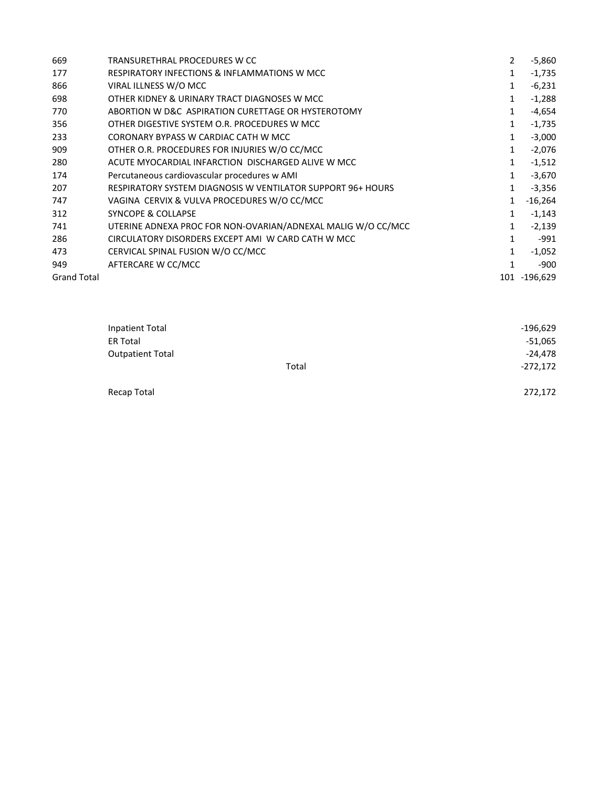| 669                | TRANSURETHRAL PROCEDURES W CC                                | 2            | -5,860       |
|--------------------|--------------------------------------------------------------|--------------|--------------|
| 177                | <b>RESPIRATORY INFECTIONS &amp; INFLAMMATIONS W MCC</b>      | 1            | $-1,735$     |
| 866                | VIRAL ILLNESS W/O MCC                                        | 1            | $-6,231$     |
| 698                | OTHER KIDNEY & URINARY TRACT DIAGNOSES W MCC                 | $\mathbf{1}$ | $-1,288$     |
| 770                | ABORTION W D&C ASPIRATION CURETTAGE OR HYSTEROTOMY           | 1            | $-4,654$     |
| 356                | OTHER DIGESTIVE SYSTEM O.R. PROCEDURES W MCC                 | 1            | $-1,735$     |
| 233                | CORONARY BYPASS W CARDIAC CATH W MCC                         | 1            | $-3,000$     |
| 909                | OTHER O.R. PROCEDURES FOR INJURIES W/O CC/MCC                | $\mathbf{1}$ | $-2,076$     |
| 280                | ACUTE MYOCARDIAL INFARCTION DISCHARGED ALIVE W MCC           | 1            | $-1,512$     |
| 174                | Percutaneous cardiovascular procedures w AMI                 | $\mathbf{1}$ | $-3,670$     |
| 207                | RESPIRATORY SYSTEM DIAGNOSIS W VENTILATOR SUPPORT 96+ HOURS  | 1            | $-3,356$     |
| 747                | VAGINA CERVIX & VULVA PROCEDURES W/O CC/MCC                  | 1            | $-16,264$    |
| 312                | <b>SYNCOPE &amp; COLLAPSE</b>                                | 1            | $-1,143$     |
| 741                | UTERINE ADNEXA PROC FOR NON-OVARIAN/ADNEXAL MALIG W/O CC/MCC | 1            | $-2,139$     |
| 286                | CIRCULATORY DISORDERS EXCEPT AMI W CARD CATH W MCC           | 1            | -991         |
| 473                | CERVICAL SPINAL FUSION W/O CC/MCC                            | 1            | $-1,052$     |
| 949                | AFTERCARE W CC/MCC                                           | 1            | -900         |
| <b>Grand Total</b> |                                                              |              | 101 -196,629 |

| Inpatient Total<br><b>ER Total</b> |       | $-196,629$<br>$-51,065$ |
|------------------------------------|-------|-------------------------|
| <b>Outpatient Total</b>            |       | $-24,478$               |
|                                    | Total | $-272,172$              |
| Recap Total                        |       | 272,172                 |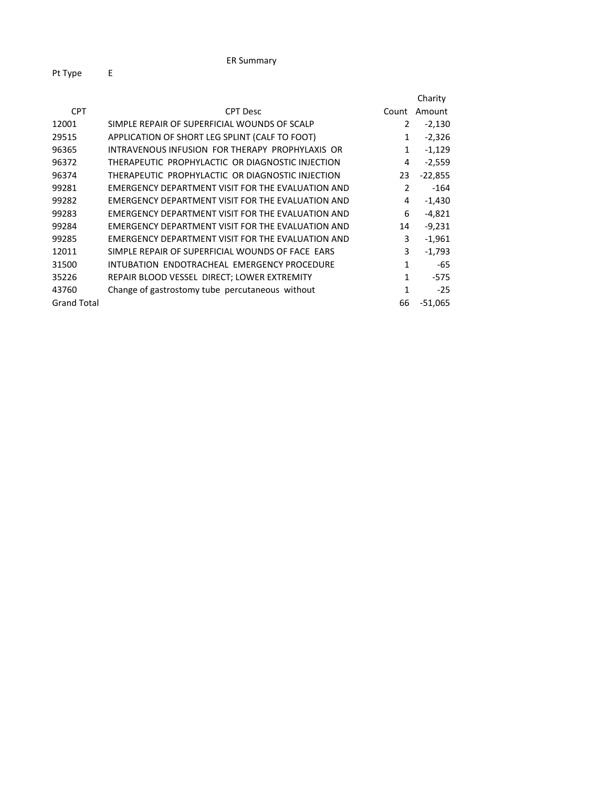|                    |                                                   |                | Charity   |
|--------------------|---------------------------------------------------|----------------|-----------|
| <b>CPT</b>         | <b>CPT Desc</b>                                   | Count          | Amount    |
| 12001              | SIMPLE REPAIR OF SUPERFICIAL WOUNDS OF SCALP      | 2              | $-2,130$  |
| 29515              | APPLICATION OF SHORT LEG SPLINT (CALF TO FOOT)    | 1              | $-2,326$  |
| 96365              | INTRAVENOUS INFUSION FOR THERAPY PROPHYLAXIS OR   | 1              | $-1,129$  |
| 96372              | THERAPEUTIC PROPHYLACTIC OR DIAGNOSTIC INJECTION  | 4              | $-2,559$  |
| 96374              | THERAPEUTIC PROPHYLACTIC OR DIAGNOSTIC INJECTION  | 23             | $-22,855$ |
| 99281              | EMERGENCY DEPARTMENT VISIT FOR THE EVALUATION AND | $\overline{2}$ | -164      |
| 99282              | EMERGENCY DEPARTMENT VISIT FOR THE EVALUATION AND | 4              | $-1,430$  |
| 99283              | EMERGENCY DEPARTMENT VISIT FOR THE EVALUATION AND | 6              | $-4,821$  |
| 99284              | EMERGENCY DEPARTMENT VISIT FOR THE EVALUATION AND | 14             | $-9,231$  |
| 99285              | EMERGENCY DEPARTMENT VISIT FOR THE EVALUATION AND | 3              | $-1,961$  |
| 12011              | SIMPLE REPAIR OF SUPERFICIAL WOUNDS OF FACE EARS  | 3              | $-1,793$  |
| 31500              | INTUBATION ENDOTRACHEAL EMERGENCY PROCEDURE       | 1              | -65       |
| 35226              | REPAIR BLOOD VESSEL DIRECT; LOWER EXTREMITY       | $\mathbf{1}$   | -575      |
| 43760              | Change of gastrostomy tube percutaneous without   | 1              | $-25$     |
| <b>Grand Total</b> |                                                   | 66             | $-51,065$ |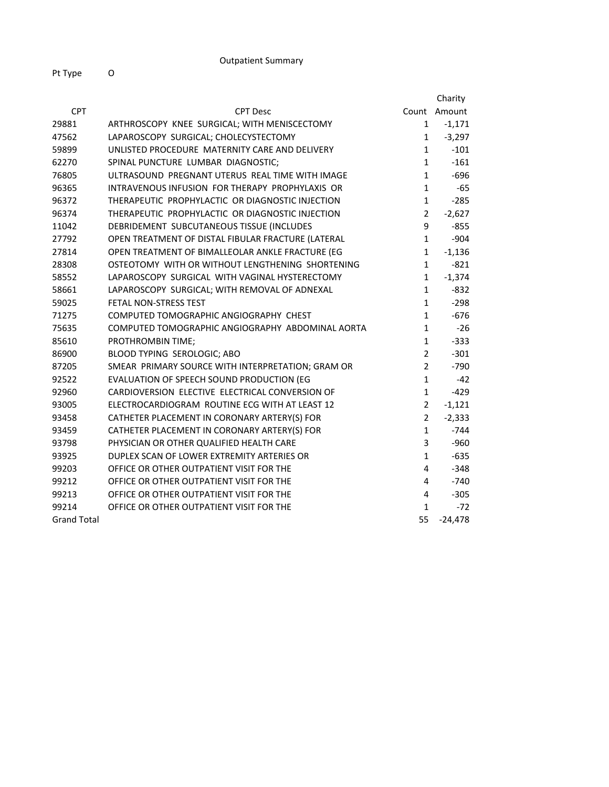|                    |                                                    |                | Charity      |
|--------------------|----------------------------------------------------|----------------|--------------|
| <b>CPT</b>         | <b>CPT Desc</b>                                    |                | Count Amount |
| 29881              | ARTHROSCOPY KNEE SURGICAL; WITH MENISCECTOMY       | 1              | $-1,171$     |
| 47562              | LAPAROSCOPY SURGICAL; CHOLECYSTECTOMY              | $\mathbf{1}$   | $-3,297$     |
| 59899              | UNLISTED PROCEDURE MATERNITY CARE AND DELIVERY     | $\mathbf{1}$   | $-101$       |
| 62270              | SPINAL PUNCTURE LUMBAR DIAGNOSTIC;                 | $\mathbf{1}$   | $-161$       |
| 76805              | ULTRASOUND PREGNANT UTERUS REAL TIME WITH IMAGE    | $\mathbf{1}$   | $-696$       |
| 96365              | INTRAVENOUS INFUSION FOR THERAPY PROPHYLAXIS OR    | $\mathbf{1}$   | $-65$        |
| 96372              | THERAPEUTIC PROPHYLACTIC OR DIAGNOSTIC INJECTION   | $\mathbf{1}$   | $-285$       |
| 96374              | THERAPEUTIC PROPHYLACTIC OR DIAGNOSTIC INJECTION   | $\overline{2}$ | $-2,627$     |
| 11042              | DEBRIDEMENT SUBCUTANEOUS TISSUE (INCLUDES          | 9              | $-855$       |
| 27792              | OPEN TREATMENT OF DISTAL FIBULAR FRACTURE (LATERAL | $\mathbf{1}$   | $-904$       |
| 27814              | OPEN TREATMENT OF BIMALLEOLAR ANKLE FRACTURE (EG   | $\mathbf{1}$   | $-1,136$     |
| 28308              | OSTEOTOMY WITH OR WITHOUT LENGTHENING SHORTENING   | $\mathbf{1}$   | $-821$       |
| 58552              | LAPAROSCOPY SURGICAL WITH VAGINAL HYSTERECTOMY     | $\mathbf{1}$   | $-1,374$     |
| 58661              | LAPAROSCOPY SURGICAL; WITH REMOVAL OF ADNEXAL      | $\mathbf{1}$   | $-832$       |
| 59025              | <b>FETAL NON-STRESS TEST</b>                       | $\mathbf{1}$   | $-298$       |
| 71275              | COMPUTED TOMOGRAPHIC ANGIOGRAPHY CHEST             | $\mathbf{1}$   | $-676$       |
| 75635              | COMPUTED TOMOGRAPHIC ANGIOGRAPHY ABDOMINAL AORTA   | $\mathbf{1}$   | $-26$        |
| 85610              | PROTHROMBIN TIME;                                  | $\mathbf{1}$   | $-333$       |
| 86900              | BLOOD TYPING SEROLOGIC; ABO                        | $\overline{2}$ | $-301$       |
| 87205              | SMEAR PRIMARY SOURCE WITH INTERPRETATION; GRAM OR  | $\overline{2}$ | $-790$       |
| 92522              | EVALUATION OF SPEECH SOUND PRODUCTION (EG          | $\mathbf{1}$   | $-42$        |
| 92960              | CARDIOVERSION ELECTIVE ELECTRICAL CONVERSION OF    | $\mathbf{1}$   | $-429$       |
| 93005              | ELECTROCARDIOGRAM ROUTINE ECG WITH AT LEAST 12     | $\overline{2}$ | $-1,121$     |
| 93458              | CATHETER PLACEMENT IN CORONARY ARTERY(S) FOR       | $\overline{2}$ | $-2,333$     |
| 93459              | CATHETER PLACEMENT IN CORONARY ARTERY(S) FOR       | $\mathbf{1}$   | $-744$       |
| 93798              | PHYSICIAN OR OTHER QUALIFIED HEALTH CARE           | 3              | $-960$       |
| 93925              | DUPLEX SCAN OF LOWER EXTREMITY ARTERIES OR         | $\mathbf{1}$   | $-635$       |
| 99203              | OFFICE OR OTHER OUTPATIENT VISIT FOR THE           | 4              | $-348$       |
| 99212              | OFFICE OR OTHER OUTPATIENT VISIT FOR THE           | 4              | $-740$       |
| 99213              | OFFICE OR OTHER OUTPATIENT VISIT FOR THE           | 4              | $-305$       |
| 99214              | OFFICE OR OTHER OUTPATIENT VISIT FOR THE           | $\mathbf{1}$   | $-72$        |
| <b>Grand Total</b> |                                                    | 55             | $-24,478$    |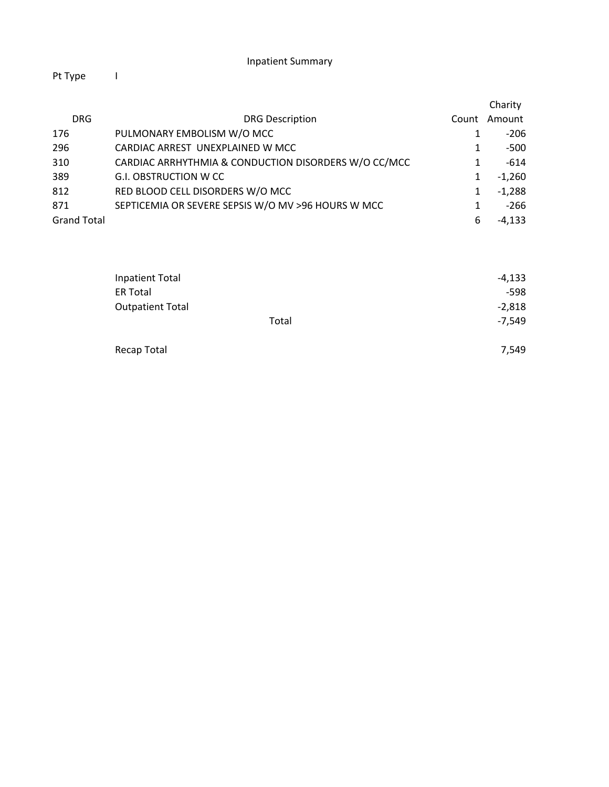|                    |                                                      |       | Charity  |
|--------------------|------------------------------------------------------|-------|----------|
| <b>DRG</b>         | <b>DRG Description</b>                               | Count | Amount   |
| 176                | PULMONARY EMBOLISM W/O MCC                           |       | $-206$   |
| 296                | CARDIAC ARREST UNEXPLAINED W MCC                     |       | $-500$   |
| 310                | CARDIAC ARRHYTHMIA & CONDUCTION DISORDERS W/O CC/MCC |       | $-614$   |
| 389                | <b>G.I. OBSTRUCTION W CC</b>                         |       | $-1,260$ |
| 812                | RED BLOOD CELL DISORDERS W/O MCC                     |       | $-1,288$ |
| 871                | SEPTICEMIA OR SEVERE SEPSIS W/O MV >96 HOURS W MCC   |       | $-266$   |
| <b>Grand Total</b> |                                                      | 6     | $-4,133$ |

| Inpatient Total         | $-4,133$ |
|-------------------------|----------|
| <b>ER Total</b>         | $-598$   |
| <b>Outpatient Total</b> | $-2,818$ |
| Total                   | $-7,549$ |
| Recap Total             | 7,549    |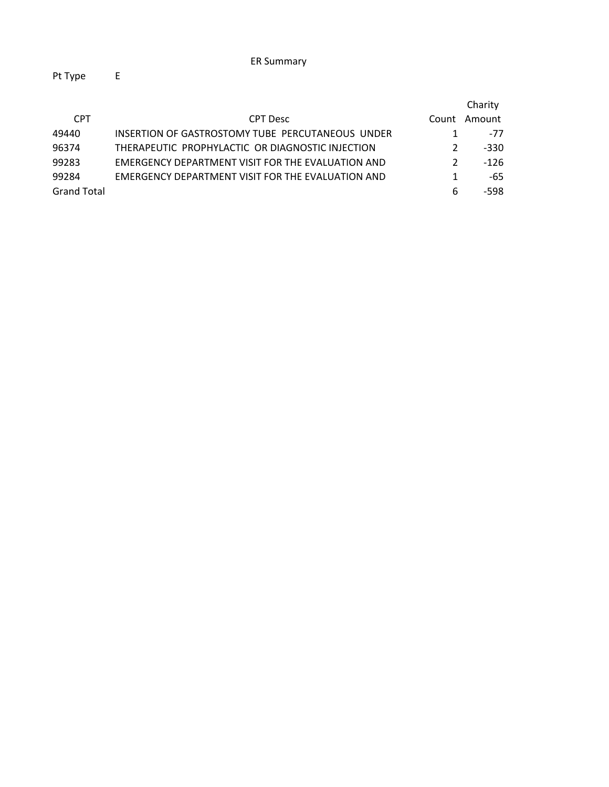|                    |                                                          |               | Charity |
|--------------------|----------------------------------------------------------|---------------|---------|
| <b>CPT</b>         | <b>CPT</b> Desc                                          | Count         | Amount  |
| 49440              | INSERTION OF GASTROSTOMY TUBE PERCUTANEOUS UNDER         |               | -77     |
| 96374              | THERAPEUTIC PROPHYLACTIC OR DIAGNOSTIC INJECTION         | $\mathcal{P}$ | -330    |
| 99283              | <b>EMERGENCY DEPARTMENT VISIT FOR THE EVALUATION AND</b> | $\mathcal{P}$ | $-126$  |
| 99284              | EMERGENCY DEPARTMENT VISIT FOR THE EVALUATION AND        |               | -65     |
| <b>Grand Total</b> |                                                          | 6             | -598    |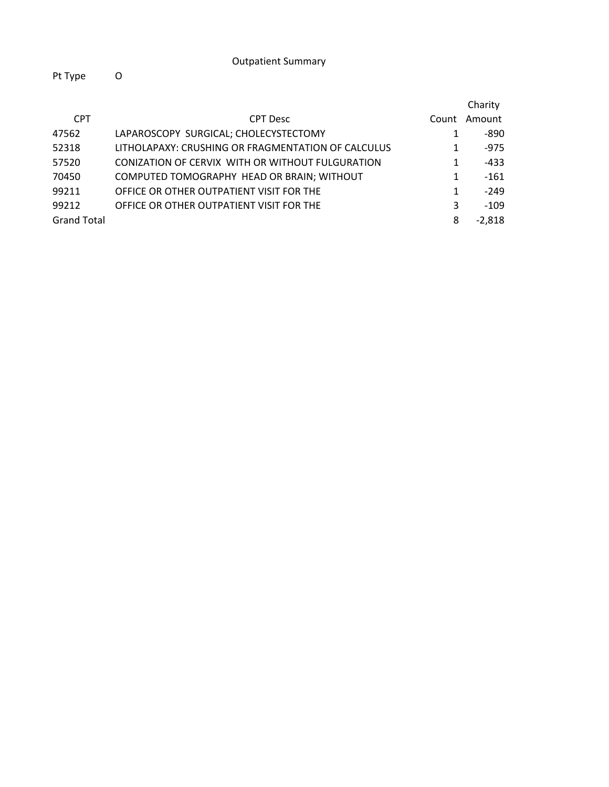|                    |                                                    |       | Charity  |
|--------------------|----------------------------------------------------|-------|----------|
| <b>CPT</b>         | <b>CPT</b> Desc                                    | Count | Amount   |
| 47562              | LAPAROSCOPY SURGICAL; CHOLECYSTECTOMY              | 1     | -890     |
| 52318              | LITHOLAPAXY: CRUSHING OR FRAGMENTATION OF CALCULUS | 1     | $-975$   |
| 57520              | CONIZATION OF CERVIX WITH OR WITHOUT FULGURATION   | 1     | $-433$   |
| 70450              | COMPUTED TOMOGRAPHY HEAD OR BRAIN; WITHOUT         | 1     | $-161$   |
| 99211              | OFFICE OR OTHER OUTPATIENT VISIT FOR THE           | 1     | $-249$   |
| 99212              | OFFICE OR OTHER OUTPATIENT VISIT FOR THE           | 3     | $-109$   |
| <b>Grand Total</b> |                                                    | 8     | $-2,818$ |
|                    |                                                    |       |          |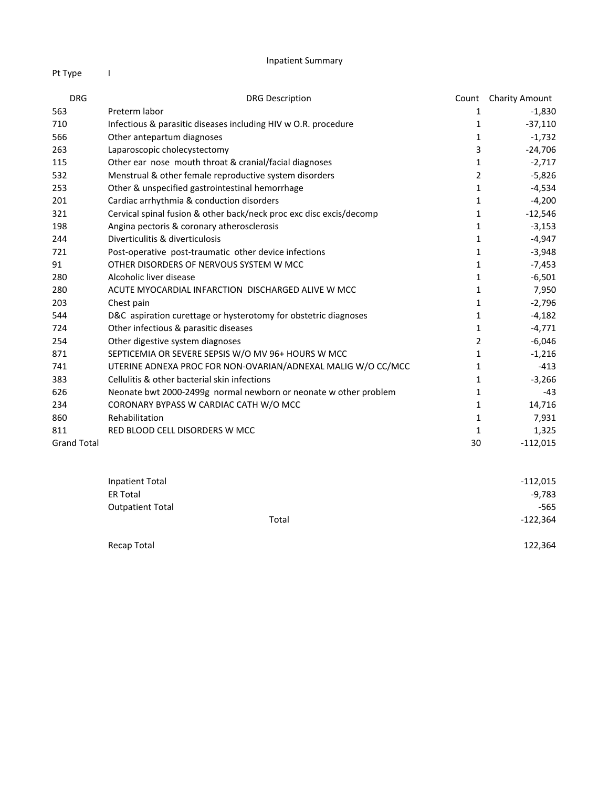| <b>DRG</b>         | <b>DRG Description</b>                                              | Count          | <b>Charity Amount</b> |
|--------------------|---------------------------------------------------------------------|----------------|-----------------------|
| 563                | Preterm labor                                                       | 1              | $-1,830$              |
| 710                | Infectious & parasitic diseases including HIV w O.R. procedure      | 1              | $-37,110$             |
| 566                | Other antepartum diagnoses                                          | 1              | $-1,732$              |
| 263                | Laparoscopic cholecystectomy                                        | 3              | $-24,706$             |
| 115                | Other ear nose mouth throat & cranial/facial diagnoses              | 1              | $-2,717$              |
| 532                | Menstrual & other female reproductive system disorders              | $\overline{2}$ | $-5,826$              |
| 253                | Other & unspecified gastrointestinal hemorrhage                     | 1              | $-4,534$              |
| 201                | Cardiac arrhythmia & conduction disorders                           | 1              | $-4,200$              |
| 321                | Cervical spinal fusion & other back/neck proc exc disc excis/decomp | 1              | $-12,546$             |
| 198                | Angina pectoris & coronary atherosclerosis                          | 1              | $-3,153$              |
| 244                | Diverticulitis & diverticulosis                                     | $\mathbf{1}$   | $-4,947$              |
| 721                | Post-operative post-traumatic other device infections               | 1              | $-3,948$              |
| 91                 | OTHER DISORDERS OF NERVOUS SYSTEM W MCC                             | 1              | $-7,453$              |
| 280                | Alcoholic liver disease                                             | $\mathbf{1}$   | $-6,501$              |
| 280                | ACUTE MYOCARDIAL INFARCTION DISCHARGED ALIVE W MCC                  | 1              | 7,950                 |
| 203                | Chest pain                                                          | 1              | $-2,796$              |
| 544                | D&C aspiration curettage or hysterotomy for obstetric diagnoses     | 1              | $-4,182$              |
| 724                | Other infectious & parasitic diseases                               | 1              | $-4,771$              |
| 254                | Other digestive system diagnoses                                    | $\overline{2}$ | $-6,046$              |
| 871                | SEPTICEMIA OR SEVERE SEPSIS W/O MV 96+ HOURS W MCC                  | 1              | $-1,216$              |
| 741                | UTERINE ADNEXA PROC FOR NON-OVARIAN/ADNEXAL MALIG W/O CC/MCC        | 1              | $-413$                |
| 383                | Cellulitis & other bacterial skin infections                        | 1              | $-3,266$              |
| 626                | Neonate bwt 2000-2499g normal newborn or neonate w other problem    | 1              | $-43$                 |
| 234                | CORONARY BYPASS W CARDIAC CATH W/O MCC                              | 1              | 14,716                |
| 860                | Rehabilitation                                                      | 1              | 7,931                 |
| 811                | RED BLOOD CELL DISORDERS W MCC                                      | 1              | 1,325                 |
| <b>Grand Total</b> |                                                                     | 30             | $-112,015$            |

| <b>Inpatient Total</b>  |       | $-112,015$ |
|-------------------------|-------|------------|
| ER Total                |       | $-9,783$   |
| <b>Outpatient Total</b> |       | $-565$     |
|                         | Total | $-122,364$ |
| Recap Total             |       | 122,364    |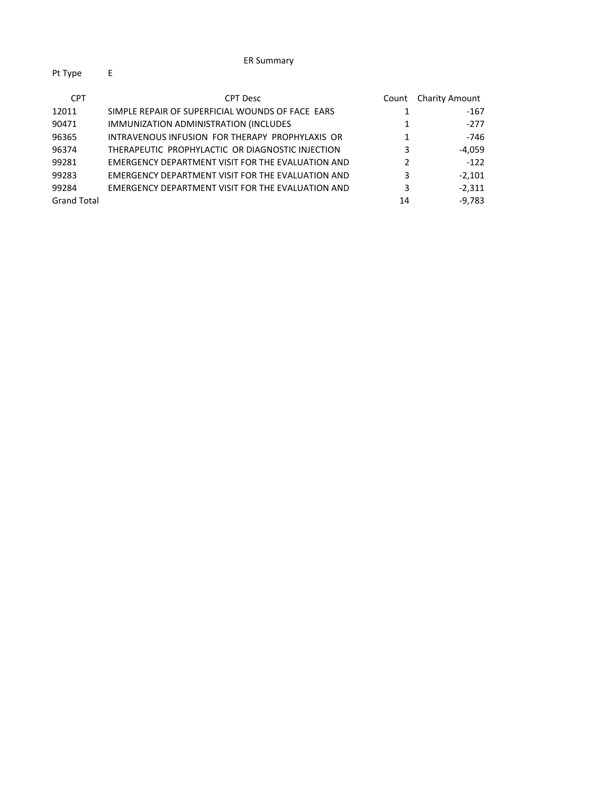| <b>CPT</b>         | <b>CPT Desc</b>                                   | Count | <b>Charity Amount</b> |
|--------------------|---------------------------------------------------|-------|-----------------------|
| 12011              | SIMPLE REPAIR OF SUPERFICIAL WOUNDS OF FACE EARS  |       | $-167$                |
| 90471              | IMMUNIZATION ADMINISTRATION (INCLUDES             |       | $-277$                |
| 96365              | INTRAVENOUS INFUSION FOR THERAPY PROPHYLAXIS OR   |       | -746                  |
| 96374              | THERAPEUTIC PROPHYLACTIC OR DIAGNOSTIC INJECTION  | 3     | $-4.059$              |
| 99281              | EMERGENCY DEPARTMENT VISIT FOR THE EVALUATION AND | 2     | $-122$                |
| 99283              | EMERGENCY DEPARTMENT VISIT FOR THE EVALUATION AND | 3     | $-2.101$              |
| 99284              | EMERGENCY DEPARTMENT VISIT FOR THE EVALUATION AND | 3     | $-2.311$              |
| <b>Grand Total</b> |                                                   | 14    | $-9.783$              |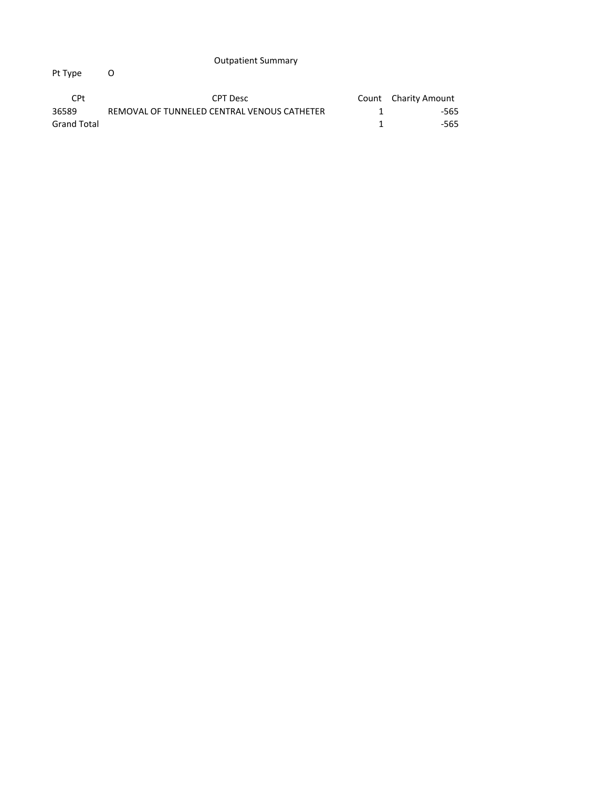| CPt.        | CPT Desc                                    | Count Charity Amount |
|-------------|---------------------------------------------|----------------------|
| 36589       | REMOVAL OF TUNNELED CENTRAL VENOUS CATHETER | -565                 |
| Grand Total |                                             | -565                 |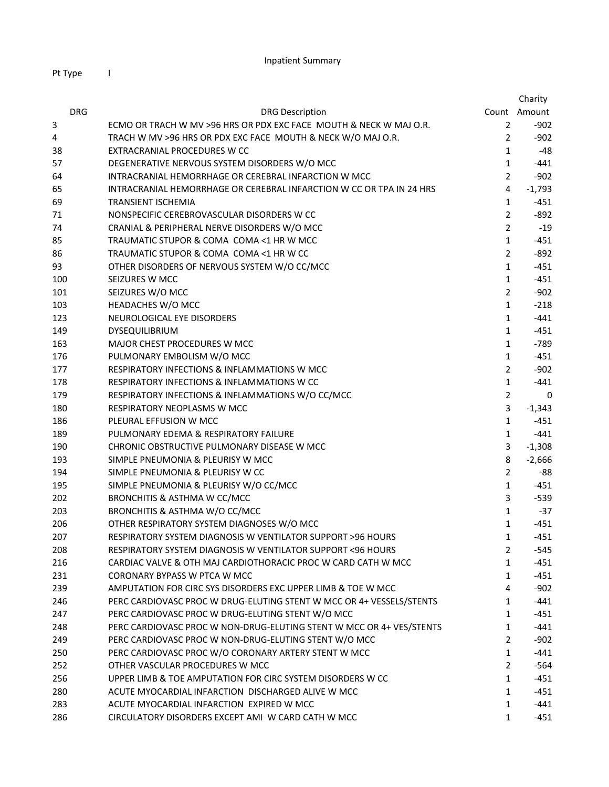|            |                                                                      |                | Charity      |
|------------|----------------------------------------------------------------------|----------------|--------------|
| <b>DRG</b> | <b>DRG Description</b>                                               |                | Count Amount |
| 3          | ECMO OR TRACH W MV >96 HRS OR PDX EXC FACE MOUTH & NECK W MAJ O.R.   | 2              | $-902$       |
| 4          | TRACH W MV >96 HRS OR PDX EXC FACE MOUTH & NECK W/O MAJ O.R.         | $\overline{2}$ | $-902$       |
| 38         | EXTRACRANIAL PROCEDURES W CC                                         | $\mathbf{1}$   | $-48$        |
| 57         | DEGENERATIVE NERVOUS SYSTEM DISORDERS W/O MCC                        | $\mathbf{1}$   | $-441$       |
| 64         | INTRACRANIAL HEMORRHAGE OR CEREBRAL INFARCTION W MCC                 | $\overline{2}$ | $-902$       |
| 65         | INTRACRANIAL HEMORRHAGE OR CEREBRAL INFARCTION W CC OR TPA IN 24 HRS | 4              | $-1,793$     |
| 69         | TRANSIENT ISCHEMIA                                                   | $\mathbf{1}$   | $-451$       |
| 71         | NONSPECIFIC CEREBROVASCULAR DISORDERS W CC                           | $\overline{2}$ | $-892$       |
| 74         | CRANIAL & PERIPHERAL NERVE DISORDERS W/O MCC                         | $\overline{2}$ | $-19$        |
| 85         | TRAUMATIC STUPOR & COMA COMA <1 HR W MCC                             | $\mathbf{1}$   | $-451$       |
| 86         | TRAUMATIC STUPOR & COMA COMA <1 HR W CC                              | $\overline{2}$ | $-892$       |
| 93         | OTHER DISORDERS OF NERVOUS SYSTEM W/O CC/MCC                         | $\mathbf{1}$   | $-451$       |
| 100        | SEIZURES W MCC                                                       | $\mathbf{1}$   | $-451$       |
| 101        | SEIZURES W/O MCC                                                     | $\overline{2}$ | $-902$       |
| 103        | HEADACHES W/O MCC                                                    | $\mathbf{1}$   | $-218$       |
| 123        | NEUROLOGICAL EYE DISORDERS                                           | $\mathbf{1}$   | $-441$       |
| 149        | <b>DYSEQUILIBRIUM</b>                                                | $\mathbf{1}$   | $-451$       |
| 163        | MAJOR CHEST PROCEDURES W MCC                                         | $\mathbf{1}$   | $-789$       |
| 176        | PULMONARY EMBOLISM W/O MCC                                           | $\mathbf{1}$   | $-451$       |
| 177        | <b>RESPIRATORY INFECTIONS &amp; INFLAMMATIONS W MCC</b>              | $\overline{2}$ | $-902$       |
| 178        | RESPIRATORY INFECTIONS & INFLAMMATIONS W CC                          | $\mathbf{1}$   | $-441$       |
| 179        | RESPIRATORY INFECTIONS & INFLAMMATIONS W/O CC/MCC                    | $\overline{2}$ | 0            |
| 180        | <b>RESPIRATORY NEOPLASMS W MCC</b>                                   | 3              | $-1,343$     |
| 186        | PLEURAL EFFUSION W MCC                                               | $\mathbf{1}$   | $-451$       |
| 189        | PULMONARY EDEMA & RESPIRATORY FAILURE                                | $\mathbf{1}$   | $-441$       |
| 190        | CHRONIC OBSTRUCTIVE PULMONARY DISEASE W MCC                          | 3              | $-1,308$     |
| 193        | SIMPLE PNEUMONIA & PLEURISY W MCC                                    | 8              | $-2,666$     |
| 194        | SIMPLE PNEUMONIA & PLEURISY W CC                                     | $\overline{2}$ | -88          |
| 195        | SIMPLE PNEUMONIA & PLEURISY W/O CC/MCC                               | $\mathbf{1}$   | $-451$       |
| 202        | BRONCHITIS & ASTHMA W CC/MCC                                         | 3              | $-539$       |
| 203        | BRONCHITIS & ASTHMA W/O CC/MCC                                       | $\mathbf{1}$   | $-37$        |
| 206        | OTHER RESPIRATORY SYSTEM DIAGNOSES W/O MCC                           | $\mathbf{1}$   | $-451$       |
| 207        | RESPIRATORY SYSTEM DIAGNOSIS W VENTILATOR SUPPORT >96 HOURS          | $\mathbf{1}$   | $-451$       |
| 208        | RESPIRATORY SYSTEM DIAGNOSIS W VENTILATOR SUPPORT <96 HOURS          | 2              | -545         |
| 216        | CARDIAC VALVE & OTH MAJ CARDIOTHORACIC PROC W CARD CATH W MCC        | $\mathbf{1}$   | $-451$       |
| 231        | <b>CORONARY BYPASS W PTCA W MCC</b>                                  | $\mathbf{1}$   | $-451$       |
| 239        | AMPUTATION FOR CIRC SYS DISORDERS EXC UPPER LIMB & TOE W MCC         | 4              | $-902$       |
| 246        | PERC CARDIOVASC PROC W DRUG-ELUTING STENT W MCC OR 4+ VESSELS/STENTS | $\mathbf{1}$   | $-441$       |
| 247        | PERC CARDIOVASC PROC W DRUG-ELUTING STENT W/O MCC                    | $\mathbf{1}$   | $-451$       |
| 248        | PERC CARDIOVASC PROC W NON-DRUG-ELUTING STENT W MCC OR 4+ VES/STENTS | $\mathbf{1}$   | -441         |
| 249        | PERC CARDIOVASC PROC W NON-DRUG-ELUTING STENT W/O MCC                | $\overline{2}$ | $-902$       |
| 250        | PERC CARDIOVASC PROC W/O CORONARY ARTERY STENT W MCC                 | $\mathbf{1}$   | $-441$       |
| 252        | OTHER VASCULAR PROCEDURES W MCC                                      | $\overline{2}$ | $-564$       |
| 256        | UPPER LIMB & TOE AMPUTATION FOR CIRC SYSTEM DISORDERS W CC           | $\mathbf{1}$   | $-451$       |
| 280        | ACUTE MYOCARDIAL INFARCTION DISCHARGED ALIVE W MCC                   | $\mathbf{1}$   | $-451$       |
| 283        | ACUTE MYOCARDIAL INFARCTION EXPIRED W MCC                            | $\mathbf{1}$   | $-441$       |
| 286        | CIRCULATORY DISORDERS EXCEPT AMI W CARD CATH W MCC                   | $\mathbf{1}$   | $-451$       |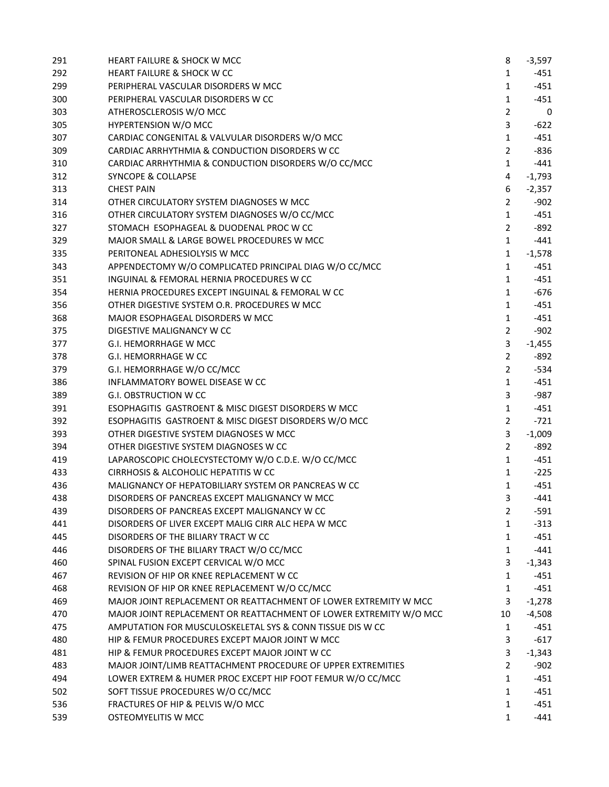| 291 | <b>HEART FAILURE &amp; SHOCK W MCC</b>                             | 8              | $-3,597$ |
|-----|--------------------------------------------------------------------|----------------|----------|
| 292 | <b>HEART FAILURE &amp; SHOCK W CC</b>                              | $\mathbf{1}$   | -451     |
| 299 | PERIPHERAL VASCULAR DISORDERS W MCC                                | $\mathbf{1}$   | $-451$   |
| 300 | PERIPHERAL VASCULAR DISORDERS W CC                                 | $\mathbf{1}$   | $-451$   |
| 303 | ATHEROSCLEROSIS W/O MCC                                            | $\overline{2}$ | 0        |
| 305 | HYPERTENSION W/O MCC                                               | 3              | $-622$   |
| 307 | CARDIAC CONGENITAL & VALVULAR DISORDERS W/O MCC                    | $\mathbf{1}$   | $-451$   |
| 309 | CARDIAC ARRHYTHMIA & CONDUCTION DISORDERS W CC                     | $\overline{2}$ | $-836$   |
| 310 | CARDIAC ARRHYTHMIA & CONDUCTION DISORDERS W/O CC/MCC               | $\mathbf{1}$   | $-441$   |
| 312 | <b>SYNCOPE &amp; COLLAPSE</b>                                      | 4              | $-1,793$ |
| 313 | <b>CHEST PAIN</b>                                                  | 6              | $-2,357$ |
| 314 | OTHER CIRCULATORY SYSTEM DIAGNOSES W MCC                           | $\overline{2}$ | $-902$   |
| 316 | OTHER CIRCULATORY SYSTEM DIAGNOSES W/O CC/MCC                      | $\mathbf{1}$   | $-451$   |
| 327 | STOMACH ESOPHAGEAL & DUODENAL PROC W CC                            | $\overline{2}$ | $-892$   |
| 329 | MAJOR SMALL & LARGE BOWEL PROCEDURES W MCC                         | $\mathbf{1}$   | $-441$   |
| 335 | PERITONEAL ADHESIOLYSIS W MCC                                      | $\mathbf{1}$   | $-1,578$ |
| 343 | APPENDECTOMY W/O COMPLICATED PRINCIPAL DIAG W/O CC/MCC             | $\mathbf{1}$   | $-451$   |
| 351 | INGUINAL & FEMORAL HERNIA PROCEDURES W CC                          | $\mathbf{1}$   | $-451$   |
| 354 | HERNIA PROCEDURES EXCEPT INGUINAL & FEMORAL W CC                   | $\mathbf{1}$   | $-676$   |
| 356 | OTHER DIGESTIVE SYSTEM O.R. PROCEDURES W MCC                       | $\mathbf{1}$   | $-451$   |
| 368 | MAJOR ESOPHAGEAL DISORDERS W MCC                                   | $\mathbf{1}$   | $-451$   |
| 375 | DIGESTIVE MALIGNANCY W CC                                          | $\overline{2}$ | $-902$   |
| 377 | G.I. HEMORRHAGE W MCC                                              | 3              | $-1,455$ |
| 378 | G.I. HEMORRHAGE W CC                                               | $\overline{2}$ | $-892$   |
| 379 | G.I. HEMORRHAGE W/O CC/MCC                                         | $\overline{2}$ | $-534$   |
| 386 | INFLAMMATORY BOWEL DISEASE W CC                                    | $\mathbf{1}$   | $-451$   |
| 389 | G.I. OBSTRUCTION W CC                                              | 3              | $-987$   |
| 391 | ESOPHAGITIS GASTROENT & MISC DIGEST DISORDERS W MCC                | $\mathbf{1}$   | $-451$   |
| 392 | ESOPHAGITIS GASTROENT & MISC DIGEST DISORDERS W/O MCC              | $\overline{2}$ | $-721$   |
| 393 | OTHER DIGESTIVE SYSTEM DIAGNOSES W MCC                             | 3              | $-1,009$ |
| 394 | OTHER DIGESTIVE SYSTEM DIAGNOSES W CC                              | $\overline{2}$ | -892     |
| 419 | LAPAROSCOPIC CHOLECYSTECTOMY W/O C.D.E. W/O CC/MCC                 | $\mathbf{1}$   | $-451$   |
| 433 | CIRRHOSIS & ALCOHOLIC HEPATITIS W CC                               | $\mathbf{1}$   | $-225$   |
| 436 | MALIGNANCY OF HEPATOBILIARY SYSTEM OR PANCREAS W CC                | $\mathbf{1}$   | $-451$   |
| 438 | DISORDERS OF PANCREAS EXCEPT MALIGNANCY W MCC.                     | 3              | -441     |
| 439 | DISORDERS OF PANCREAS EXCEPT MALIGNANCY W CC                       | 2              | -591     |
| 441 | DISORDERS OF LIVER EXCEPT MALIG CIRR ALC HEPA W MCC                | $\mathbf{1}$   | $-313$   |
| 445 | DISORDERS OF THE BILIARY TRACT W CC                                | 1              | $-451$   |
| 446 | DISORDERS OF THE BILIARY TRACT W/O CC/MCC                          | $\mathbf{1}$   | $-441$   |
| 460 | SPINAL FUSION EXCEPT CERVICAL W/O MCC                              | 3              | $-1,343$ |
| 467 | REVISION OF HIP OR KNEE REPLACEMENT W CC                           | 1              | $-451$   |
| 468 | REVISION OF HIP OR KNEE REPLACEMENT W/O CC/MCC                     | $\mathbf{1}$   | $-451$   |
| 469 | MAJOR JOINT REPLACEMENT OR REATTACHMENT OF LOWER EXTREMITY W MCC.  | 3              | $-1,278$ |
| 470 | MAJOR JOINT REPLACEMENT OR REATTACHMENT OF LOWER EXTREMITY W/O MCC | 10             | $-4,508$ |
| 475 | AMPUTATION FOR MUSCULOSKELETAL SYS & CONN TISSUE DIS W CC          | 1              | -451     |
| 480 | HIP & FEMUR PROCEDURES EXCEPT MAJOR JOINT W MCC                    | 3              | $-617$   |
| 481 | HIP & FEMUR PROCEDURES EXCEPT MAJOR JOINT W CC                     | 3              | $-1,343$ |
| 483 | MAJOR JOINT/LIMB REATTACHMENT PROCEDURE OF UPPER EXTREMITIES       | $\overline{2}$ | $-902$   |
| 494 | LOWER EXTREM & HUMER PROC EXCEPT HIP FOOT FEMUR W/O CC/MCC         | $\mathbf{1}$   | $-451$   |
| 502 | SOFT TISSUE PROCEDURES W/O CC/MCC                                  | $\mathbf{1}$   | $-451$   |
| 536 | FRACTURES OF HIP & PELVIS W/O MCC                                  | 1              | $-451$   |
| 539 | OSTEOMYELITIS W MCC                                                | 1              | $-441$   |
|     |                                                                    |                |          |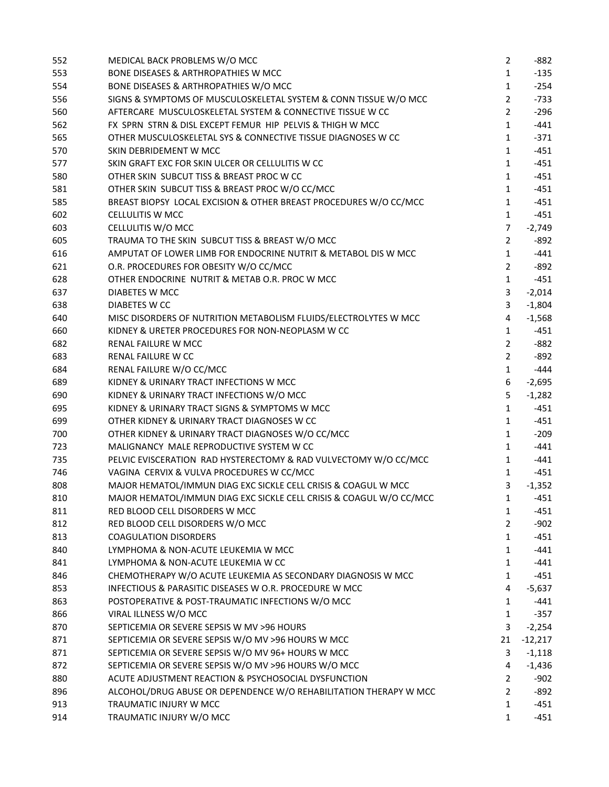| 552        | MEDICAL BACK PROBLEMS W/O MCC                                                                                | $\overline{2}$      | $-882$             |
|------------|--------------------------------------------------------------------------------------------------------------|---------------------|--------------------|
| 553        | <b>BONE DISEASES &amp; ARTHROPATHIES W MCC</b>                                                               | $\mathbf{1}$        | $-135$             |
| 554        | BONE DISEASES & ARTHROPATHIES W/O MCC                                                                        | $\mathbf{1}$        | $-254$             |
| 556        | SIGNS & SYMPTOMS OF MUSCULOSKELETAL SYSTEM & CONN TISSUE W/O MCC                                             | $\overline{2}$      | $-733$             |
| 560        | AFTERCARE MUSCULOSKELETAL SYSTEM & CONNECTIVE TISSUE W CC                                                    | $\overline{2}$      | $-296$             |
| 562        | FX SPRN STRN & DISL EXCEPT FEMUR HIP PELVIS & THIGH W MCC                                                    | $\mathbf{1}$        | $-441$             |
| 565        | OTHER MUSCULOSKELETAL SYS & CONNECTIVE TISSUE DIAGNOSES W CC                                                 | $\mathbf{1}$        | $-371$             |
| 570        | SKIN DEBRIDEMENT W MCC                                                                                       | $\mathbf{1}$        | $-451$             |
| 577        | SKIN GRAFT EXC FOR SKIN ULCER OR CELLULITIS W CC                                                             | $\mathbf{1}$        | $-451$             |
| 580        | OTHER SKIN SUBCUT TISS & BREAST PROC W CC                                                                    | $\mathbf{1}$        | $-451$             |
| 581        | OTHER SKIN SUBCUT TISS & BREAST PROC W/O CC/MCC                                                              | $\mathbf{1}$        | $-451$             |
| 585        | BREAST BIOPSY LOCAL EXCISION & OTHER BREAST PROCEDURES W/O CC/MCC                                            | $\mathbf{1}$        | $-451$             |
| 602        | <b>CELLULITIS W MCC</b>                                                                                      | $\mathbf{1}$        | $-451$             |
| 603        | CELLULITIS W/O MCC                                                                                           | $\overline{7}$      | $-2,749$           |
| 605        | TRAUMA TO THE SKIN SUBCUT TISS & BREAST W/O MCC                                                              | $\overline{2}$      | $-892$             |
| 616        | AMPUTAT OF LOWER LIMB FOR ENDOCRINE NUTRIT & METABOL DIS W MCC                                               | $\mathbf{1}$        | $-441$             |
| 621        | O.R. PROCEDURES FOR OBESITY W/O CC/MCC                                                                       | $\overline{2}$      | $-892$             |
| 628        | OTHER ENDOCRINE NUTRIT & METAB O.R. PROC W MCC                                                               | $\mathbf{1}$        | $-451$             |
| 637        | DIABETES W MCC                                                                                               | 3                   | $-2,014$           |
| 638        | DIABETES W CC                                                                                                | $\overline{3}$      | $-1,804$           |
| 640        | MISC DISORDERS OF NUTRITION METABOLISM FLUIDS/ELECTROLYTES W MCC                                             | 4                   | $-1,568$           |
| 660        | KIDNEY & URETER PROCEDURES FOR NON-NEOPLASM W CC                                                             | $\mathbf{1}$        | $-451$             |
| 682        | RENAL FAILURE W MCC                                                                                          | $\overline{2}$      | $-882$             |
| 683        | RENAL FAILURE W CC                                                                                           | $\overline{2}$      | $-892$             |
| 684        | RENAL FAILURE W/O CC/MCC                                                                                     | $\mathbf{1}$        | $-444$             |
| 689        | KIDNEY & URINARY TRACT INFECTIONS W MCC                                                                      | 6                   | $-2,695$           |
| 690        | KIDNEY & URINARY TRACT INFECTIONS W/O MCC                                                                    | 5                   | $-1,282$           |
| 695        | KIDNEY & URINARY TRACT SIGNS & SYMPTOMS W MCC                                                                | $\mathbf{1}$        | $-451$             |
| 699        | OTHER KIDNEY & URINARY TRACT DIAGNOSES W CC                                                                  | $\mathbf{1}$        | $-451$             |
| 700        | OTHER KIDNEY & URINARY TRACT DIAGNOSES W/O CC/MCC                                                            | $\mathbf{1}$        | $-209$             |
| 723        | MALIGNANCY MALE REPRODUCTIVE SYSTEM W CC                                                                     | $\mathbf{1}$        | $-441$             |
| 735        | PELVIC EVISCERATION RAD HYSTERECTOMY & RAD VULVECTOMY W/O CC/MCC                                             | $\mathbf{1}$        | $-441$             |
| 746        | VAGINA CERVIX & VULVA PROCEDURES W CC/MCC                                                                    | $\mathbf{1}$        | $-451$             |
| 808        | MAJOR HEMATOL/IMMUN DIAG EXC SICKLE CELL CRISIS & COAGUL W MCC                                               | 3                   | $-1,352$           |
| 810        | MAJOR HEMATOL/IMMUN DIAG EXC SICKLE CELL CRISIS & COAGUL W/O CC/MCC                                          | $\mathbf{1}$        | $-451$             |
| 811        | RED BLOOD CELL DISORDERS W MCC                                                                               | 1                   | -451               |
| 812        | RED BLOOD CELL DISORDERS W/O MCC                                                                             | $\overline{2}$      | $-902$             |
| 813        | <b>COAGULATION DISORDERS</b>                                                                                 | $\mathbf{1}$        | -451               |
| 840        | LYMPHOMA & NON-ACUTE LEUKEMIA W MCC                                                                          | $\mathbf{1}$        | $-441$             |
| 841        | LYMPHOMA & NON-ACUTE LEUKEMIA W CC                                                                           | $\mathbf{1}$        | $-441$             |
| 846        | CHEMOTHERAPY W/O ACUTE LEUKEMIA AS SECONDARY DIAGNOSIS W MCC                                                 | $\mathbf{1}$        | $-451$             |
| 853        | INFECTIOUS & PARASITIC DISEASES W O.R. PROCEDURE W MCC                                                       | 4                   | $-5,637$           |
| 863        | POSTOPERATIVE & POST-TRAUMATIC INFECTIONS W/O MCC                                                            | $\mathbf{1}$        | $-441$             |
| 866        | VIRAL ILLNESS W/O MCC                                                                                        | $\mathbf{1}$        | $-357$             |
| 870        | SEPTICEMIA OR SEVERE SEPSIS W MV >96 HOURS                                                                   | 3                   | $-2,254$           |
| 871        | SEPTICEMIA OR SEVERE SEPSIS W/O MV >96 HOURS W MCC                                                           | 21                  | $-12,217$          |
| 871        | SEPTICEMIA OR SEVERE SEPSIS W/O MV 96+ HOURS W MCC                                                           | 3                   |                    |
|            |                                                                                                              |                     | $-1,118$           |
| 872        | SEPTICEMIA OR SEVERE SEPSIS W/O MV >96 HOURS W/O MCC<br>ACUTE ADJUSTMENT REACTION & PSYCHOSOCIAL DYSFUNCTION | 4<br>$\overline{2}$ | $-1,436$<br>$-902$ |
| 880        | ALCOHOL/DRUG ABUSE OR DEPENDENCE W/O REHABILITATION THERAPY W MCC                                            | $\overline{2}$      |                    |
| 896        | TRAUMATIC INJURY W MCC                                                                                       |                     | -892<br>$-451$     |
| 913<br>914 | TRAUMATIC INJURY W/O MCC                                                                                     | 1<br>$\mathbf{1}$   |                    |
|            |                                                                                                              |                     | -451               |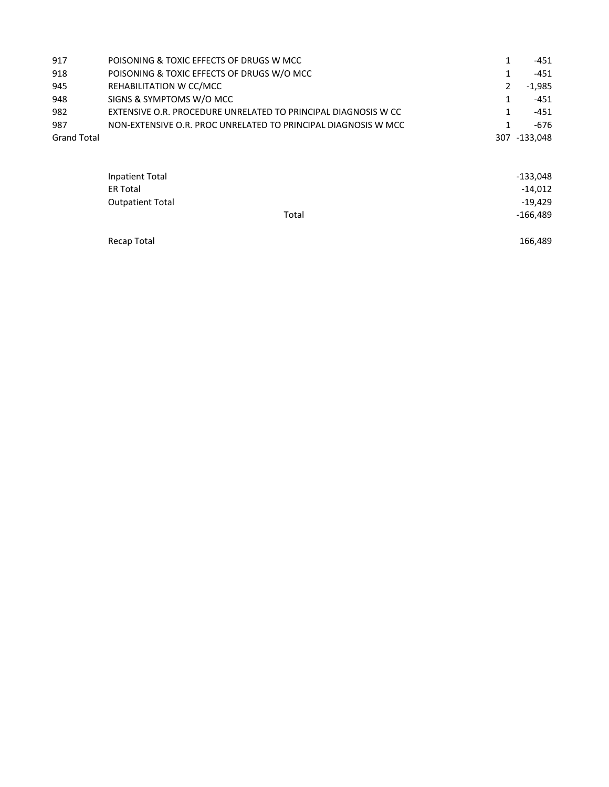| 917                | POISONING & TOXIC EFFECTS OF DRUGS W MCC                       |   | -451         |
|--------------------|----------------------------------------------------------------|---|--------------|
| 918                | POISONING & TOXIC EFFECTS OF DRUGS W/O MCC                     |   | -451         |
| 945                | REHABILITATION W CC/MCC                                        | 2 | $-1.985$     |
| 948                | SIGNS & SYMPTOMS W/O MCC                                       |   | $-451$       |
| 982                | EXTENSIVE O.R. PROCEDURE UNRELATED TO PRINCIPAL DIAGNOSIS W CC |   | -451         |
| 987                | NON-EXTENSIVE O.R. PROC UNRELATED TO PRINCIPAL DIAGNOSIS W MCC |   | $-676$       |
| <b>Grand Total</b> |                                                                |   | 307 -133.048 |
|                    |                                                                |   |              |

| Inpatient Total         |       | $-133,048$ |
|-------------------------|-------|------------|
| <b>ER Total</b>         |       | $-14,012$  |
| <b>Outpatient Total</b> |       | $-19,429$  |
|                         | Total | $-166,489$ |
|                         |       |            |

Recap Total 166,489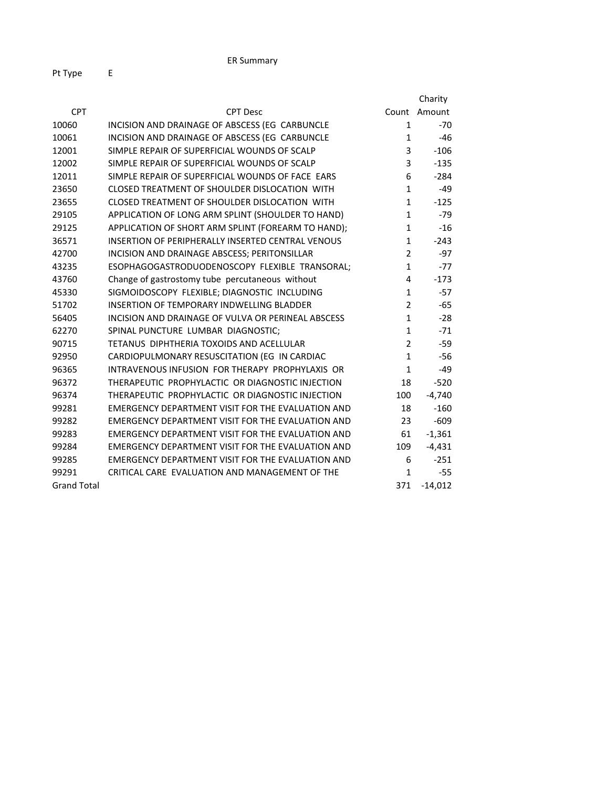|                    |                                                    |                | Charity      |
|--------------------|----------------------------------------------------|----------------|--------------|
| <b>CPT</b>         | <b>CPT Desc</b>                                    |                | Count Amount |
| 10060              | INCISION AND DRAINAGE OF ABSCESS (EG CARBUNCLE     | $\mathbf{1}$   | $-70$        |
| 10061              | INCISION AND DRAINAGE OF ABSCESS (EG CARBUNCLE     | 1              | $-46$        |
| 12001              | SIMPLE REPAIR OF SUPERFICIAL WOUNDS OF SCALP       | 3              | $-106$       |
| 12002              | SIMPLE REPAIR OF SUPERFICIAL WOUNDS OF SCALP       | 3              | $-135$       |
| 12011              | SIMPLE REPAIR OF SUPERFICIAL WOUNDS OF FACE EARS   | 6              | $-284$       |
| 23650              | CLOSED TREATMENT OF SHOULDER DISLOCATION WITH      | $\mathbf{1}$   | $-49$        |
| 23655              | CLOSED TREATMENT OF SHOULDER DISLOCATION WITH      | $\mathbf{1}$   | $-125$       |
| 29105              | APPLICATION OF LONG ARM SPLINT (SHOULDER TO HAND)  | $\mathbf{1}$   | $-79$        |
| 29125              | APPLICATION OF SHORT ARM SPLINT (FOREARM TO HAND); | $\mathbf{1}$   | $-16$        |
| 36571              | INSERTION OF PERIPHERALLY INSERTED CENTRAL VENOUS  | $\mathbf{1}$   | $-243$       |
| 42700              | INCISION AND DRAINAGE ABSCESS; PERITONSILLAR       | $\overline{2}$ | $-97$        |
| 43235              | ESOPHAGOGASTRODUODENOSCOPY FLEXIBLE TRANSORAL;     | $\mathbf{1}$   | $-77$        |
| 43760              | Change of gastrostomy tube percutaneous without    | 4              | $-173$       |
| 45330              | SIGMOIDOSCOPY FLEXIBLE; DIAGNOSTIC INCLUDING       | $\mathbf{1}$   | $-57$        |
| 51702              | INSERTION OF TEMPORARY INDWELLING BLADDER          | $\overline{2}$ | $-65$        |
| 56405              | INCISION AND DRAINAGE OF VULVA OR PERINEAL ABSCESS | $\mathbf{1}$   | $-28$        |
| 62270              | SPINAL PUNCTURE LUMBAR DIAGNOSTIC;                 | $\mathbf{1}$   | $-71$        |
| 90715              | TETANUS DIPHTHERIA TOXOIDS AND ACELLULAR           | 2              | $-59$        |
| 92950              | CARDIOPULMONARY RESUSCITATION (EG IN CARDIAC       | $\mathbf{1}$   | $-56$        |
| 96365              | INTRAVENOUS INFUSION FOR THERAPY PROPHYLAXIS OR    | $\mathbf{1}$   | $-49$        |
| 96372              | THERAPEUTIC PROPHYLACTIC OR DIAGNOSTIC INJECTION   | 18             | $-520$       |
| 96374              | THERAPEUTIC PROPHYLACTIC OR DIAGNOSTIC INJECTION   | 100            | $-4,740$     |
| 99281              | EMERGENCY DEPARTMENT VISIT FOR THE EVALUATION AND  | 18             | $-160$       |
| 99282              | EMERGENCY DEPARTMENT VISIT FOR THE EVALUATION AND  | 23             | $-609$       |
| 99283              | EMERGENCY DEPARTMENT VISIT FOR THE EVALUATION AND  | 61             | $-1,361$     |
| 99284              | EMERGENCY DEPARTMENT VISIT FOR THE EVALUATION AND  | 109            | $-4,431$     |
| 99285              | EMERGENCY DEPARTMENT VISIT FOR THE EVALUATION AND  | 6              | $-251$       |
| 99291              | CRITICAL CARE EVALUATION AND MANAGEMENT OF THE     | 1              | $-55$        |
| <b>Grand Total</b> |                                                    | 371            | $-14,012$    |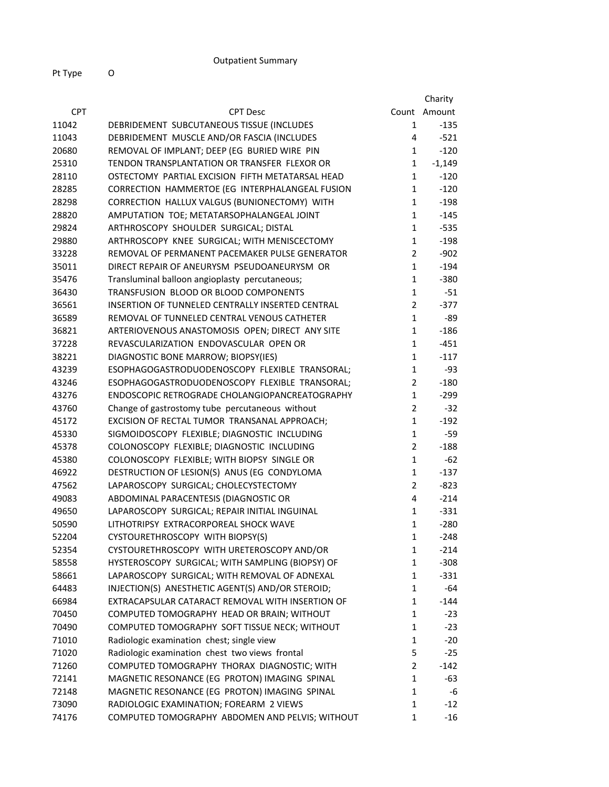|            |                                                         |                | Charity      |
|------------|---------------------------------------------------------|----------------|--------------|
| <b>CPT</b> | <b>CPT Desc</b>                                         |                | Count Amount |
| 11042      | DEBRIDEMENT SUBCUTANEOUS TISSUE (INCLUDES               | 1              | $-135$       |
| 11043      | DEBRIDEMENT MUSCLE AND/OR FASCIA (INCLUDES              | 4              | $-521$       |
| 20680      | REMOVAL OF IMPLANT; DEEP (EG BURIED WIRE PIN            | 1              | $-120$       |
| 25310      | TENDON TRANSPLANTATION OR TRANSFER FLEXOR OR            | 1              | $-1,149$     |
| 28110      | OSTECTOMY PARTIAL EXCISION FIFTH METATARSAL HEAD        | 1              | $-120$       |
| 28285      | CORRECTION HAMMERTOE (EG INTERPHALANGEAL FUSION         | 1              | $-120$       |
| 28298      | CORRECTION HALLUX VALGUS (BUNIONECTOMY) WITH            | 1              | $-198$       |
| 28820      | AMPUTATION TOE; METATARSOPHALANGEAL JOINT               | $\mathbf{1}$   | $-145$       |
| 29824      | ARTHROSCOPY SHOULDER SURGICAL; DISTAL                   | $\mathbf{1}$   | $-535$       |
| 29880      | ARTHROSCOPY KNEE SURGICAL; WITH MENISCECTOMY            | $\mathbf{1}$   | $-198$       |
| 33228      | REMOVAL OF PERMANENT PACEMAKER PULSE GENERATOR          | $\overline{2}$ | $-902$       |
| 35011      | DIRECT REPAIR OF ANEURYSM PSEUDOANEURYSM OR             | 1              | $-194$       |
| 35476      | Transluminal balloon angioplasty percutaneous;          | 1              | $-380$       |
| 36430      | TRANSFUSION BLOOD OR BLOOD COMPONENTS                   | 1              | $-51$        |
| 36561      | <b>INSERTION OF TUNNELED CENTRALLY INSERTED CENTRAL</b> | $\overline{2}$ | $-377$       |
| 36589      | REMOVAL OF TUNNELED CENTRAL VENOUS CATHETER             | $\mathbf{1}$   | -89          |
| 36821      | ARTERIOVENOUS ANASTOMOSIS OPEN; DIRECT ANY SITE         | $\mathbf{1}$   | $-186$       |
| 37228      | REVASCULARIZATION ENDOVASCULAR OPEN OR                  | 1              | $-451$       |
| 38221      | DIAGNOSTIC BONE MARROW; BIOPSY(IES)                     | 1              | $-117$       |
| 43239      | ESOPHAGOGASTRODUODENOSCOPY FLEXIBLE TRANSORAL;          | 1              | $-93$        |
| 43246      | ESOPHAGOGASTRODUODENOSCOPY FLEXIBLE TRANSORAL;          | $\overline{2}$ | $-180$       |
| 43276      | ENDOSCOPIC RETROGRADE CHOLANGIOPANCREATOGRAPHY          | $\mathbf{1}$   | $-299$       |
| 43760      | Change of gastrostomy tube percutaneous without         | $\overline{2}$ | $-32$        |
| 45172      | EXCISION OF RECTAL TUMOR TRANSANAL APPROACH;            | 1              | $-192$       |
| 45330      | SIGMOIDOSCOPY FLEXIBLE; DIAGNOSTIC INCLUDING            | 1              | $-59$        |
| 45378      | COLONOSCOPY FLEXIBLE; DIAGNOSTIC INCLUDING              | 2              | $-188$       |
| 45380      | COLONOSCOPY FLEXIBLE; WITH BIOPSY SINGLE OR             | $\mathbf{1}$   | $-62$        |
| 46922      | DESTRUCTION OF LESION(S) ANUS (EG CONDYLOMA             | $\mathbf{1}$   | $-137$       |
| 47562      | LAPAROSCOPY SURGICAL; CHOLECYSTECTOMY                   | 2              | $-823$       |
| 49083      | ABDOMINAL PARACENTESIS (DIAGNOSTIC OR                   | 4              | $-214$       |
| 49650      | LAPAROSCOPY SURGICAL; REPAIR INITIAL INGUINAL           | 1              | $-331$       |
| 50590      | LITHOTRIPSY EXTRACORPOREAL SHOCK WAVE                   | $\mathbf{1}$   | $-280$       |
| 52204      | CYSTOURETHROSCOPY WITH BIOPSY(S)                        | 1              | $-248$       |
| 52354      | CYSTOURETHROSCOPY WITH URETEROSCOPY AND/OR              | 1              | $-214$       |
| 58558      | HYSTEROSCOPY SURGICAL; WITH SAMPLING (BIOPSY) OF        | 1              | $-308$       |
| 58661      | LAPAROSCOPY SURGICAL; WITH REMOVAL OF ADNEXAL           | 1              | $-331$       |
| 64483      | INJECTION(S) ANESTHETIC AGENT(S) AND/OR STEROID;        | 1              | -64          |
| 66984      | EXTRACAPSULAR CATARACT REMOVAL WITH INSERTION OF        | 1              | $-144$       |
| 70450      | COMPUTED TOMOGRAPHY HEAD OR BRAIN; WITHOUT              | 1              | $-23$        |
| 70490      | COMPUTED TOMOGRAPHY SOFT TISSUE NECK; WITHOUT           | 1              | $-23$        |
| 71010      | Radiologic examination chest; single view               | 1              | $-20$        |
| 71020      | Radiologic examination chest two views frontal          | 5              | $-25$        |
| 71260      | COMPUTED TOMOGRAPHY THORAX DIAGNOSTIC; WITH             | 2              | $-142$       |
| 72141      | MAGNETIC RESONANCE (EG PROTON) IMAGING SPINAL           | 1              | -63          |
| 72148      | MAGNETIC RESONANCE (EG PROTON) IMAGING SPINAL           | 1              | -6           |
| 73090      | RADIOLOGIC EXAMINATION; FOREARM 2 VIEWS                 | 1              | $-12$        |
| 74176      | COMPUTED TOMOGRAPHY ABDOMEN AND PELVIS; WITHOUT         | 1              | -16          |